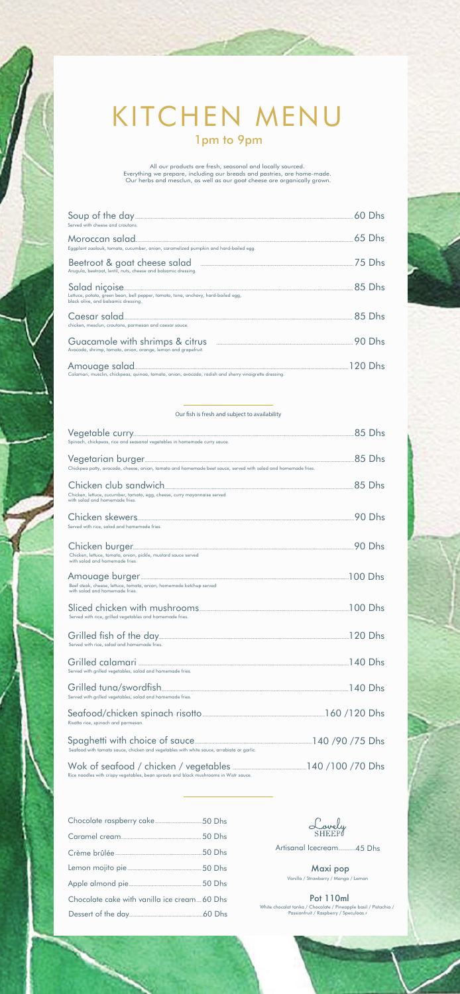## KITCHEN MENU 1pm to 9pm

All our products are fresh, seasonal and locally sourced.<br>Everything we prepare, including our breads and pastries, are home-made.<br>Our herbs and mesclun, as well as our goat cheese are organically grown.

| Served with cheese and croutons.                                                                                         |          |
|--------------------------------------------------------------------------------------------------------------------------|----------|
| Eggplant zaalouk, tomato, cucumber, onion, caramelized pumpkin and hard-boiled egg.                                      | $65$ Dhs |
| Beetroot & goat cheese salad <b>Election</b> 25 Dhs<br>Arugula, beetroot, lentil, nuts, cheese and balsamic dressing.    |          |
| Lettuce, potato, green bean, bell pepper, tomato, tuna, anchovy, hard-boiled egg,<br>black olive, and balsamic dressina. |          |
| Caesar salad 25 Dhs<br>chicken, mesclun, croutons, parmesan and caesar sauce.                                            |          |
| Guacamole with shrimps & citrus<br>Avocado, shrimp, tomato, onion, orange, lemon and grapefruit.                         | 90 Dhs   |
| Calamari, musclin, chickpeas, quinoa, tomato, onion, avocado, radish and sherry vinaigrette dressing.                    | 120 Dhs  |

## Our fish is fresh and subject to availability

| Spinach, chickpeas, rice and seasonal vegetables in homemade curry sauce.                                     |         |
|---------------------------------------------------------------------------------------------------------------|---------|
| Chickpea patty, avocado, cheese, onion, tomato and homemade beet sauce, served with salad and homemade fries. |         |
| Chicken, lettuce, cucumber, tomato, egg, cheese, curry mayonnaise served<br>with salad and homemade fries.    |         |
| Served with rice, salad and homemade fries.                                                                   |         |
| Chicken, lettuce, tomato, onion, pickle, mustard sauce served<br>with salad and homemade fries.               |         |
| Beef steak, cheese, lettuce, tomato, onion, homemade ketchup served<br>with salad and homemade fries.         | 100 Dhs |
| Served with rice, grilled vegetables and homemade fries.                                                      |         |
| Served with rice, salad and homemade fries.                                                                   |         |
| Served with grilled vegetables, salad and homemade fries.                                                     |         |
| Served with grilled vegetables, salad and homemade fries.                                                     |         |
| Risotto rice, spinach and parmesan.                                                                           |         |
| Seafood with tomato sauce, chicken and vegetables with white sauce, arrabiata or garlic.                      |         |
|                                                                                                               |         |

| Chocolate cake with vanilla ice cream 60 Dhs |  |
|----------------------------------------------|--|
|                                              |  |

Rice noodles with crispy vegetables, bean sprouts and black mushrooms in Wistr sauce.

Lovely 45 Dhs .............. Artisanal Icecream

Maxi pop<br>Vanilla / Strawberry / Mango / Lemon Pot 110ml

White chocolat tonka / Chocolate / Pineapple basil / Pistachio / Passionfruit / Raspberry / Speculoos.r